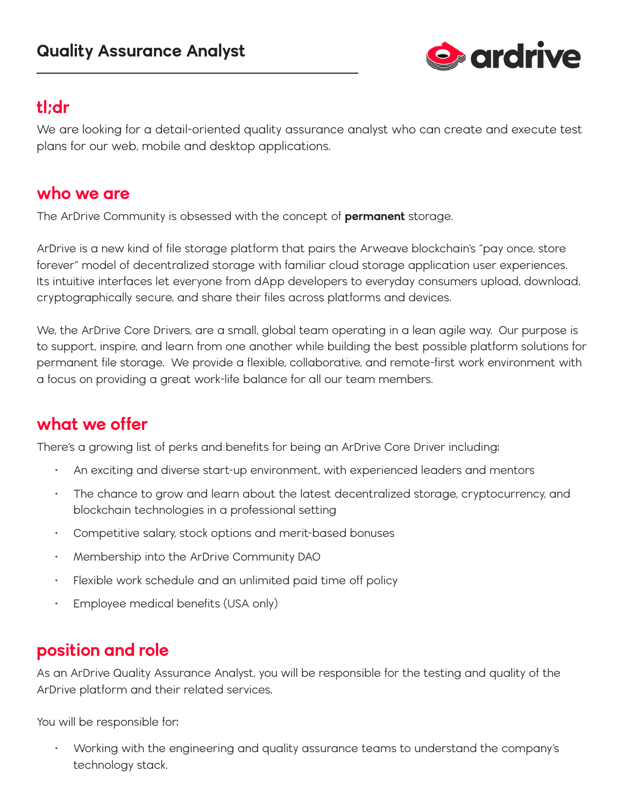

# **tl;dr**

We are looking for a detail-oriented quality assurance analyst who can create and execute test plans for our web, mobile and desktop applications.

#### **who we are**

The ArDrive Community is obsessed with the concept of **permanent** storage.

ArDrive is a new kind of file storage platform that pairs the Arweave blockchain's "pay once, store forever" model of decentralized storage with familiar cloud storage application user experiences. Its intuitive interfaces let everyone from dApp developers to everyday consumers upload, download, cryptographically secure, and share their files across platforms and devices.

We, the ArDrive Core Drivers, are a small, global team operating in a lean agile way. Our purpose is to support, inspire, and learn from one another while building the best possible platform solutions for permanent file storage. We provide a flexible, collaborative, and remote-first work environment with a focus on providing a great work-life balance for all our team members.

# **what we offer**

There's a growing list of perks and benefits for being an ArDrive Core Driver including:

- An exciting and diverse start-up environment, with experienced leaders and mentors
- The chance to grow and learn about the latest decentralized storage, cryptocurrency, and blockchain technologies in a professional setting
- Competitive salary, stock options and merit-based bonuses
- Membership into the ArDrive Community DAO
- Flexible work schedule and an unlimited paid time off policy
- Employee medical benefits (USA only)

### **position and role**

As an ArDrive Quality Assurance Analyst, you will be responsible for the testing and quality of the ArDrive platform and their related services.

You will be responsible for:

• Working with the engineering and quality assurance teams to understand the company's technology stack.